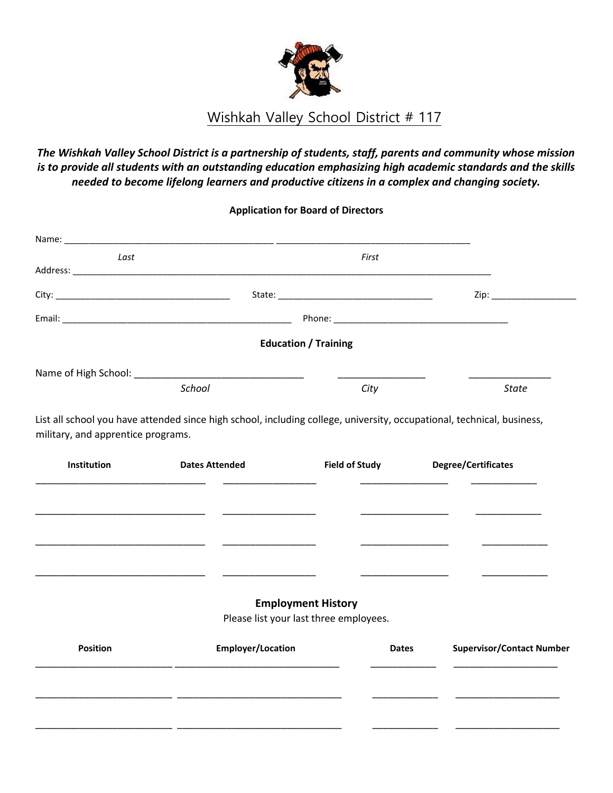

# Wishkah Valley School District # 117

# *The Wishkah Valley School District is a partnership of students, staff, parents and community whose mission is to provide all students with an outstanding education emphasizing high academic standards and the skills needed to become lifelong learners and productive citizens in a complex and changing society.*

## **Application for Board of Directors**

|                 | Name: 2008. 2008. 2010. 2010. 2010. 2010. 2010. 2010. 2010. 2010. 2010. 2010. 2010. 2010. 2010. 2010. 2010. 20 |                                                                     |                                  |
|-----------------|----------------------------------------------------------------------------------------------------------------|---------------------------------------------------------------------|----------------------------------|
| Last            |                                                                                                                | First                                                               |                                  |
|                 |                                                                                                                |                                                                     |                                  |
|                 |                                                                                                                |                                                                     | Zip:                             |
|                 |                                                                                                                |                                                                     |                                  |
|                 |                                                                                                                | <b>Education / Training</b>                                         |                                  |
|                 |                                                                                                                |                                                                     |                                  |
| School          |                                                                                                                | City                                                                | <b>State</b>                     |
| Institution     | <b>Dates Attended</b>                                                                                          | <b>Field of Study</b>                                               | <b>Degree/Certificates</b>       |
|                 |                                                                                                                |                                                                     |                                  |
|                 |                                                                                                                |                                                                     |                                  |
|                 |                                                                                                                |                                                                     |                                  |
|                 |                                                                                                                |                                                                     |                                  |
|                 |                                                                                                                |                                                                     |                                  |
|                 |                                                                                                                | <b>Employment History</b><br>Please list your last three employees. |                                  |
| <b>Position</b> | <b>Employer/Location</b>                                                                                       | <b>Dates</b>                                                        | <b>Supervisor/Contact Number</b> |
|                 |                                                                                                                |                                                                     |                                  |
|                 |                                                                                                                |                                                                     |                                  |
|                 |                                                                                                                |                                                                     |                                  |
|                 |                                                                                                                |                                                                     |                                  |